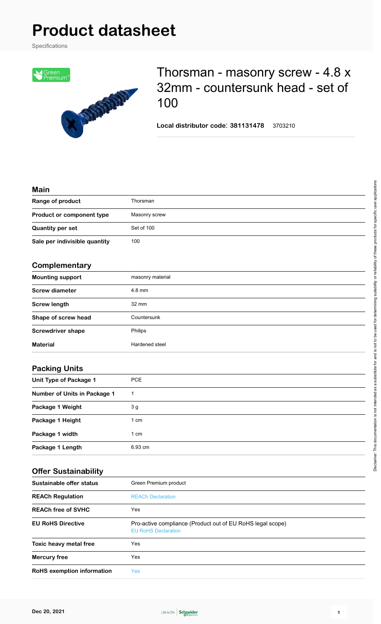# **Product datasheet**

Specifications



## Thorsman - masonry screw - 4.8 x 32mm - countersunk head - set of 100

**Local distributor code**: **381131478** 3703210

#### **Main**

| Range of product              | Thorsman      |  |
|-------------------------------|---------------|--|
| Product or component type     | Masonry screw |  |
| <b>Quantity per set</b>       | Set of 100    |  |
| Sale per indivisible quantity | 100           |  |
|                               |               |  |

#### **Complementary**

| <b>Mounting support</b>  | masonry material |
|--------------------------|------------------|
| <b>Screw diameter</b>    | $4.8$ mm         |
| <b>Screw length</b>      | $32 \text{ mm}$  |
| Shape of screw head      | Countersunk      |
| <b>Screwdriver shape</b> | Philips          |
| <b>Material</b>          | Hardened steel   |

#### **Packing Units**

| Unit Type of Package 1       | <b>PCE</b>     |
|------------------------------|----------------|
| Number of Units in Package 1 |                |
| Package 1 Weight             | 3 <sub>g</sub> |
| Package 1 Height             | 1 cm           |
| Package 1 width              | 1 cm           |
| Package 1 Length             | 6.93 cm        |

#### **Offer Sustainability**

| Sustainable offer status   | Green Premium product                                                                    |
|----------------------------|------------------------------------------------------------------------------------------|
| <b>REACh Regulation</b>    | <b>REACh Declaration</b>                                                                 |
| <b>REACh free of SVHC</b>  | Yes                                                                                      |
| <b>EU RoHS Directive</b>   | Pro-active compliance (Product out of EU RoHS legal scope)<br><b>EU RoHS Declaration</b> |
| Toxic heavy metal free     | Yes                                                                                      |
| <b>Mercury free</b>        | Yes                                                                                      |
| RoHS exemption information | Yes                                                                                      |